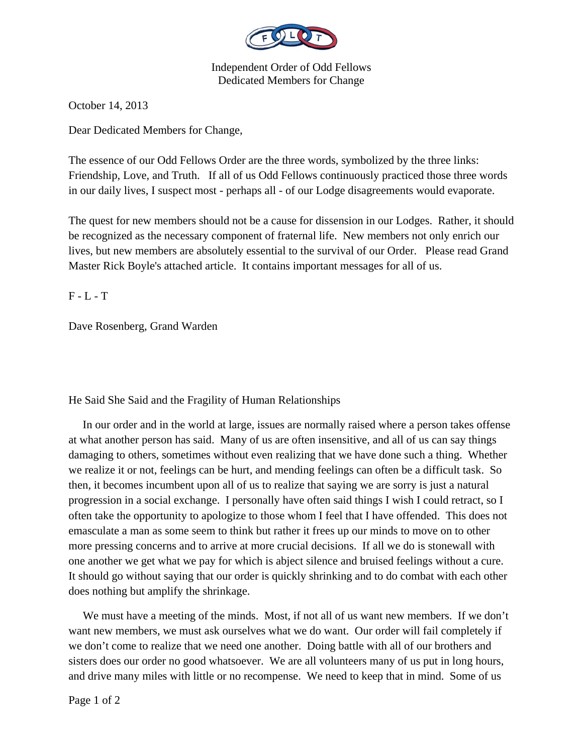

Independent Order of Odd Fellows Dedicated Members for Change

October 14, 2013

Dear Dedicated Members for Change,

The essence of our Odd Fellows Order are the three words, symbolized by the three links: Friendship, Love, and Truth. If all of us Odd Fellows continuously practiced those three words in our daily lives, I suspect most - perhaps all - of our Lodge disagreements would evaporate.

The quest for new members should not be a cause for dissension in our Lodges. Rather, it should be recognized as the necessary component of fraternal life. New members not only enrich our lives, but new members are absolutely essential to the survival of our Order. Please read Grand Master Rick Boyle's attached article. It contains important messages for all of us.

 $F - L - T$ 

Dave Rosenberg, Grand Warden

He Said She Said and the Fragility of Human Relationships

 In our order and in the world at large, issues are normally raised where a person takes offense at what another person has said. Many of us are often insensitive, and all of us can say things damaging to others, sometimes without even realizing that we have done such a thing. Whether we realize it or not, feelings can be hurt, and mending feelings can often be a difficult task. So then, it becomes incumbent upon all of us to realize that saying we are sorry is just a natural progression in a social exchange. I personally have often said things I wish I could retract, so I often take the opportunity to apologize to those whom I feel that I have offended. This does not emasculate a man as some seem to think but rather it frees up our minds to move on to other more pressing concerns and to arrive at more crucial decisions. If all we do is stonewall with one another we get what we pay for which is abject silence and bruised feelings without a cure. It should go without saying that our order is quickly shrinking and to do combat with each other does nothing but amplify the shrinkage.

 We must have a meeting of the minds. Most, if not all of us want new members. If we don't want new members, we must ask ourselves what we do want. Our order will fail completely if we don't come to realize that we need one another. Doing battle with all of our brothers and sisters does our order no good whatsoever. We are all volunteers many of us put in long hours, and drive many miles with little or no recompense. We need to keep that in mind. Some of us